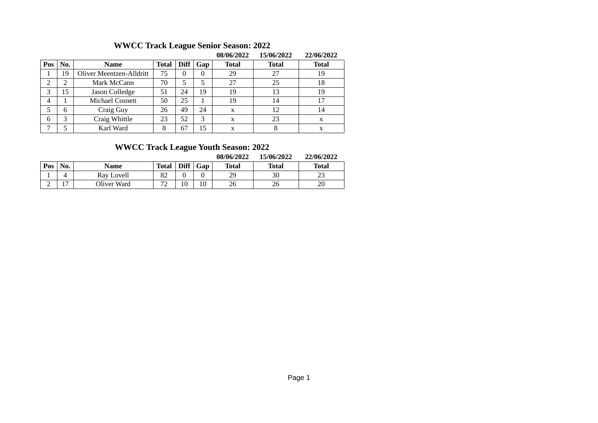# **WWCC Track League Senior Season: 2022**

|     |     |                          |       |             |          | 08/06/2022 | 15/06/2022 | 22/06/2022   |
|-----|-----|--------------------------|-------|-------------|----------|------------|------------|--------------|
| Pos | No. | <b>Name</b>              | Total | <b>Diff</b> | Gap      | Total      | Total      | <b>Total</b> |
|     | 19  | Oliver Meentzen-Alldritt | 75    | 0           | $\Omega$ | 29         | 27         | 19           |
| ר   | 2   | Mark McCann              | 70    | 5           | 5        | 27         | 25         | 18           |
| 3   | 15  | Jason Colledge           | 51    | 24          | 19       | 19         | 13         | 19           |
| 4   | 1   | <b>Michael Cosnett</b>   | 50    | 25          |          | 19         | 14         | 17           |
| 5   | 6   | Craig Guy                | 26    | 49          | 24       | X          | 12         | 14           |
| 6   | 3   | Craig Whittle            | 23    | 52          | З        | X          | 23         | X            |
| ⇁   | 5   | Karl Ward                | 8     | 67          | 15       | X          | 8          | X            |

## **WWCC Track League Youth Season: 2022**

**08/06/2022 15/06/2022 22/06/2022**

| Pos    | No.           | <b>Name</b> | <b>Total</b>        | <b>Diff</b>  | Gap | <b>Total</b> | Total | <b>Total</b> |
|--------|---------------|-------------|---------------------|--------------|-----|--------------|-------|--------------|
| ᅩ      | 4             | Ray Lovell  | 82                  |              |     | οפ<br>رے     | 30    | nn<br>رے     |
| o<br>- | $\rightarrow$ | Oliver Ward | $\overline{ }$<br>- | $10^{\circ}$ | 10  | 26           | 26    | 20           |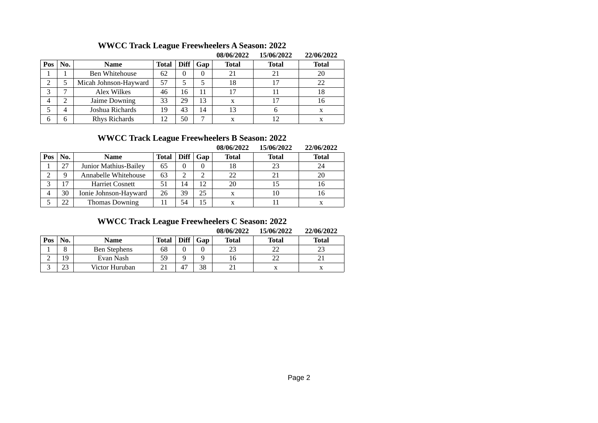### **WWCC Track League Freewheelers A Season: 2022**

|     |     |                       |              |             |     | $VU / VU / LU - L$ | 1 <i>30</i> VV 6066 | 66/ VV/ 6V66 |
|-----|-----|-----------------------|--------------|-------------|-----|--------------------|---------------------|--------------|
| Pos | No. | <b>Name</b>           | <b>Total</b> | <b>Diff</b> | Gap | <b>Total</b>       | Total               | <b>Total</b> |
|     |     | <b>Ben Whitehouse</b> | 62           | 0           |     | 21                 | 21                  | 20           |
|     |     | Micah Johnson-Hayward | 57           | 5           |     | 18                 | 17                  | 22           |
|     |     | Alex Wilkes           | 46           | 16          | 11  | 17                 |                     | 18           |
| 4   |     | Jaime Downing         | 33           | 29          | 13  | X                  | 17                  | 16           |
|     | 4   | Joshua Richards       | 19           | 43          | 14  | 13                 | h                   | X            |
| 6   | 6   | Rhys Richards         | 12           | 50          | ⇁   |                    |                     |              |

#### **08/06/2022 15/06/2022 22/06/2022**

#### **WWCC Track League Freewheelers B Season: 2022**

**08/06/2022 15/06/2022 22/06/2022**

| Pos | No. | <b>Name</b>            | Total | <b>Diff</b> | Gap | <b>Total</b> | <b>Total</b> | <b>Total</b> |
|-----|-----|------------------------|-------|-------------|-----|--------------|--------------|--------------|
|     | 27  | Junior Mathius-Bailey  | 65    |             |     | 18           | 23           | 24           |
|     | 9   | Annabelle Whitehouse   | 63    |             |     | 22           | 21           | 20           |
|     | 17  | <b>Harriet Cosnett</b> | 51    | 14          | 12  | 20           | 15           | 16           |
| 4   | 30  | Ionie Johnson-Hayward  | 26    | 39          | 25  | X            | 10           | 16           |
|     | 22  | <b>Thomas Downing</b>  | 11    | 54          | 15  | X            |              |              |

## **WWCC Track League Freewheelers C Season: 2022**

**08/06/2022 15/06/2022 22/06/2022**

| Pos | No.           | <b>Name</b>         | <b>Total</b> | <b>Diff</b> | Gap | <b>Total</b> | Total | <b>Total</b> |
|-----|---------------|---------------------|--------------|-------------|-----|--------------|-------|--------------|
|     | $\Omega$<br>Ö | <b>Ben Stephens</b> | 68           |             |     | بے           | nn    | $\sim$<br>رے |
|     | 19            | Evan Nash           | 59           | ∩           |     |              |       |              |
| ٮ   | בר<br>ں ے     | Victor Huruban      | n.,          | 47          | 38  |              |       |              |